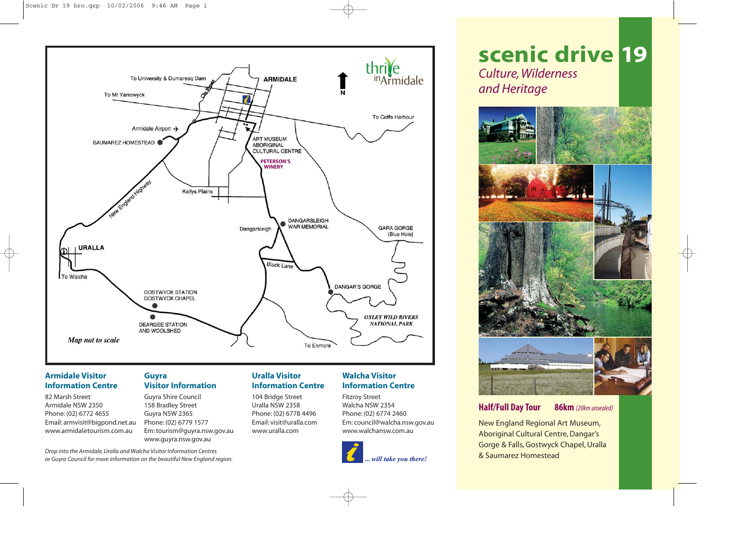

# **Armidale Visitor Information Centre**

82 Marsh Street Armidale NSW 2350 Phone: (02) 6772 4655 Email: armvisit@bigpond.net.au www.armidaletourism.com.au

## **Guyra Visitor Information**

Guyra Shire Council 158 Bradley Street Guyra NSW 2365 Phone: (02) 6779 1577 Em: tourism@guyra.nsw.gov.au www.guyra.nsw.gov.au

# **Uralla Visitor Information Centre**

104 Bridge Street Uralla NSW 2358 Phone: (02) 6778 4496 Email: visit@uralla.com www.uralla.com

# **Walcha Visitor Information Centre**

Fitzroy Street Walcha NSW 2354 Phone: (02) 6774 2460 Em: council@walcha.nsw.gov.au www.walchansw.com.au



# **scenic drive 19** *Culture, Wilderness and Heritage*



# **Half/Full Day Tour 86km** *(20km unsealed)*

New England Regional Art Museum, Aboriginal Cultural Centre, Dangar's Gorge & Falls, Gostwyck Chapel, Uralla & Saumarez Homestead

*Drop into the Armidale, Uralla and Walcha Visitor Information Centres or Guyra Council for more information on the beautiful New England region.*